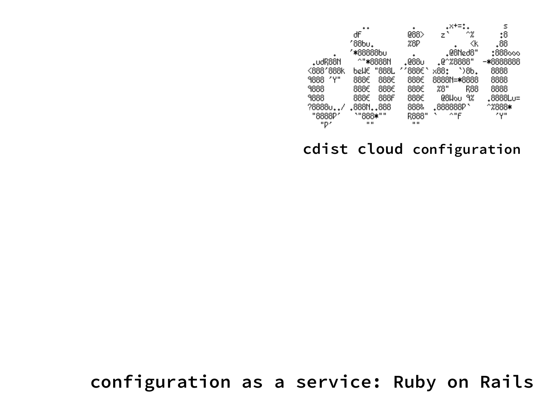|           |              |       |              | .x+=*                |          | s         |  |
|-----------|--------------|-------|--------------|----------------------|----------|-----------|--|
|           | ďF           |       | 088>         | z`                   | ^%       | 0:        |  |
|           | ′88bu.       |       | %8P          |                      | K)       | .88       |  |
|           | ′*88888b∪    |       |              |                      | .@8Ned8" | :888000   |  |
| .∪dR88N   | ^"*8888N     |       | .088∪        | .@^%8888"            |          | -*8888888 |  |
| <888'888k | bellE        | "888L | ′′888€       | x88:                 | `>8Ь.    | 8888      |  |
| 9888 'Y"  | 888€         | 888€  | 888€         | 8888N= <b>*</b> 8888 |          | 8888      |  |
| 9888      | 888€         | 888€  | 888€         | 28"                  | R88      | 8888      |  |
| 9888      | 888€         | 888F  | 888€         | @8Wou                | 9%       | .8888Lu=  |  |
| ?88880    | .888N888     |       | 888&         | .888888P'            |          | ^%888∗    |  |
| "8888P"   | `"888*""     |       | R888"        | ^"F                  |          | ۷γ۳       |  |
| "P′       | $\mathbf{H}$ |       | $\mathbf{H}$ |                      |          |           |  |

### **cdist cloud configuration**

### **configuration as a service: Ruby on Rails**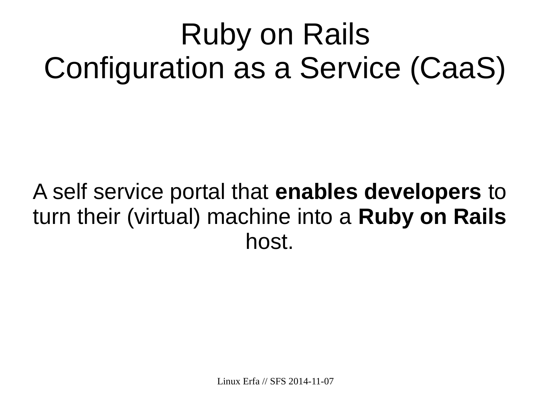# Ruby on Rails Configuration as a Service (CaaS)

## A self service portal that **enables developers** to turn their (virtual) machine into a **Ruby on Rails** host.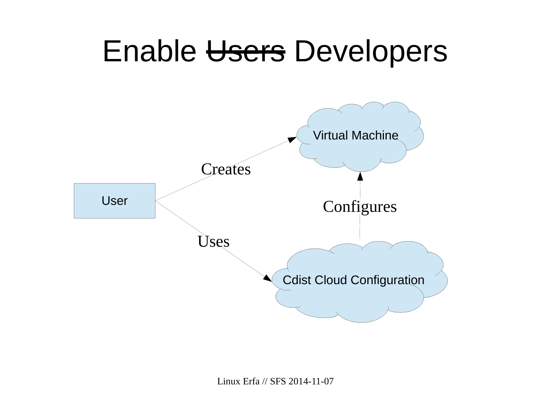## Enable Users Developers

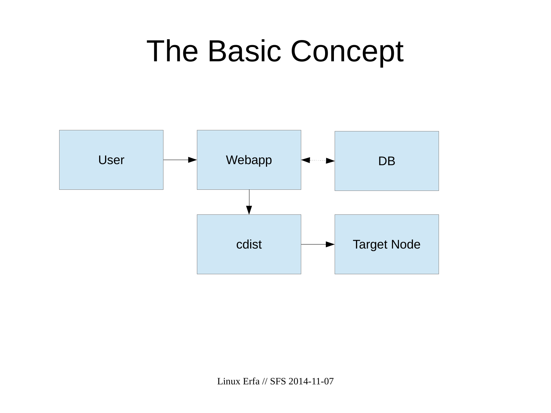## The Basic Concept

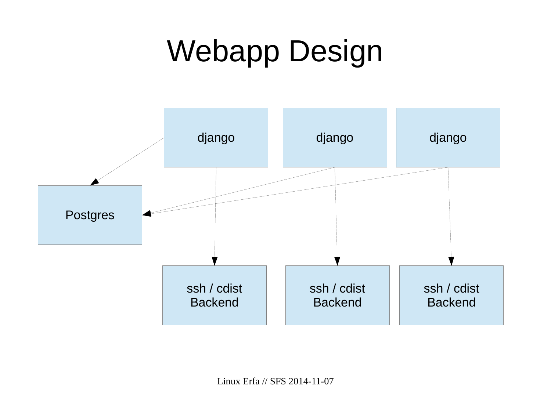# Webapp Design



Linux Erfa // SFS 2014-11-07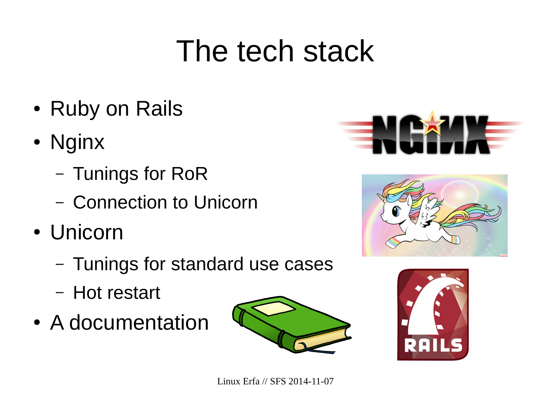## The tech stack

- Ruby on Rails
- Nginx
	- Tunings for RoR
	- Connection to Unicorn
- Unicorn
	- Tunings for standard use cases
	- Hot restart
- A documentation







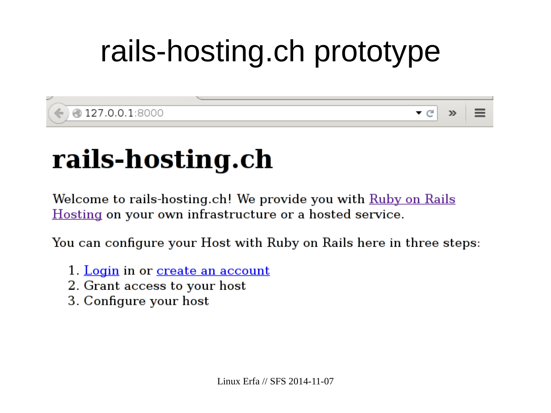# rails-hosting.ch prototype

@127.0.0.1:8000

 $\mathbf{v} \in$  $\gg$ 

## rails-hosting.ch

Welcome to rails-hosting.ch! We provide you with Ruby on Rails Hosting on your own infrastructure or a hosted service.

You can configure your Host with Ruby on Rails here in three steps:

- 1. Login in or create an account
- 2. Grant access to your host
- 3. Configure your host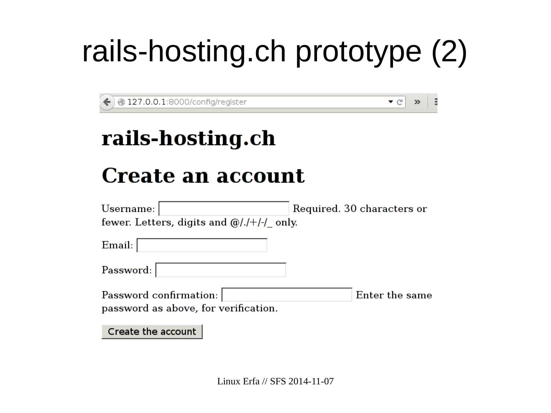# rails-hosting.ch prototype (2)

 $\bullet$  G

ă

 $\gg$ 

127.0.0.1:8000/config/register

## rails-hosting.ch

## Create an account

| Username:                                     | Required. 30 characters or |  |  |  |  |  |  |
|-----------------------------------------------|----------------------------|--|--|--|--|--|--|
| fewer. Letters, digits and $\omega/1+1$ only. |                            |  |  |  |  |  |  |
| Email:                                        |                            |  |  |  |  |  |  |
| Password:                                     |                            |  |  |  |  |  |  |
| Password confirmation:                        | Enter the same             |  |  |  |  |  |  |
| password as above, for verification.          |                            |  |  |  |  |  |  |
| Create the account                            |                            |  |  |  |  |  |  |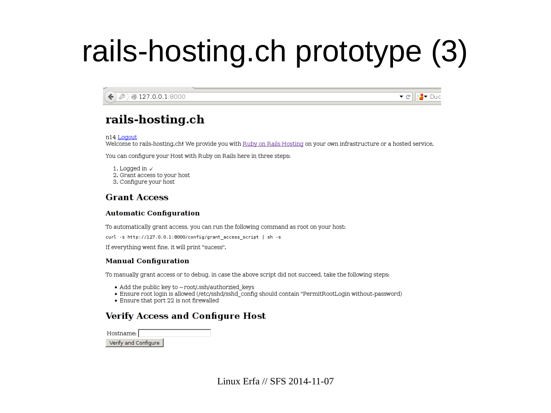# rails-hosting.ch prototype (3)

● 127.0.0.1:8000  $\mathbf{v}$  el  $\mathbf{r}$   $\mathbf{v}$  Duc

### rails-hosting.ch

n14 Logout

Welcome to rails-hosting.ch! We provide you with Ruby on Rails Hosting on your own infrastructure or a hosted service.

You can configure your Host with Ruby on Rails here in three steps:

1. Logged in  $\checkmark$ 

- 2. Grant access to your host
- 3. Configure your host

#### **Grant Access**

#### **Automatic Configuration**

To automatically grant access, you can run the following command as root on your host:

```
curl -s http://127.0.0.1:8000/config/grant_access_script | sh -s
```
If everything went fine, it will print "sucess".

#### **Manual Configuration**

To manually grant access or to debug, in case the above script did not succeed, take the following steps:

- Add the public key to  $\sim$  root/.ssh/authorzied keys
- Ensure root login is allowed (/etc/sshd/sshd\_config should contain "PermitRootLogin without-password)
- Ensure that port 22 is not firewalled

### **Verify Access and Configure Host**

Hostname: Verify and Configure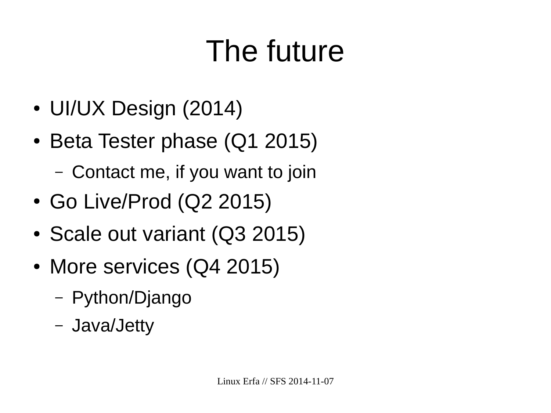# The future

- UI/UX Design (2014)
- Beta Tester phase (Q1 2015)
	- Contact me, if you want to join
- Go Live/Prod (Q2 2015)
- Scale out variant (Q3 2015)
- More services (Q4 2015)
	- Python/Django
	- Java/Jetty